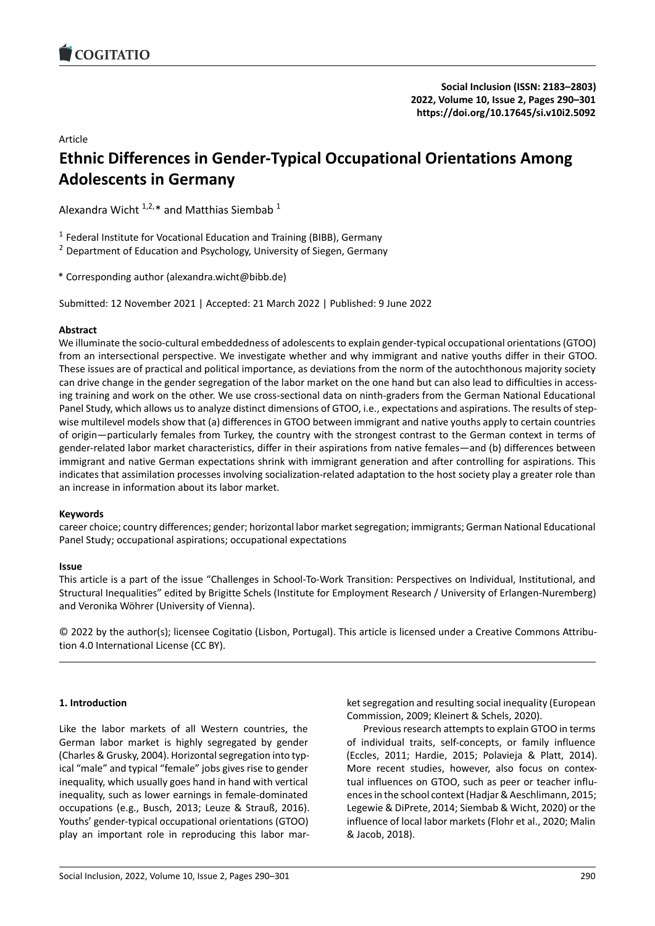# Article

# **Ethnic Differences in Gender‐Typical Occupation[al Orientations Among](https://doi.org/10.17645/si.v10i2.5092) Adolescents in Germany**

Alexandra Wicht  $1,2,*$  and Matthias Siembab  $1$ 

<sup>1</sup> Federal Institute for Vocational Education and Training (BIBB), Germany

<sup>2</sup> Department of Education and Psychology, University of Siegen, Germany

\* Corresponding author (alexandra.wicht@bibb.de)

Submitted: 12 November 2021 | Accepted: 21 March 2022 | Published: 9 June 2022

# **Abstract**

We illuminate the socio-cultural embeddedness of adolescents to explain gender-typical occupational orientations (GTOO) from an intersectional perspective. We investigate whether and why immigrant and native youths differ in their GTOO. These issues are of practical and political importance, as deviations from the norm of the autochthonous majority society can drive change in the gender segregation of the labor market on the one hand but can also lead to difficulties in accessing training and work on the other. We use cross-sectional data on ninth-graders from the German National Educational Panel Study, which allows us to analyze distinct dimensions of GTOO, i.e., expectations and aspirations. The results of step‐ wise multilevel models show that (a) differences in GTOO between immigrant and native youths apply to certain countries of origin—particularly females from Turkey, the country with the strongest contrast to the German context in terms of gender-related labor market characteristics, differ in their aspirations from native females—and (b) differences between immigrant and native German expectations shrink with immigrant generation and after controlling for aspirations. This indicates that assimilation processes involving socialization-related adaptation to the host society play a greater role than an increase in information about its labor market.

# **Keywords**

career choice; country differences; gender; horizontal labor market segregation; immigrants; German National Educational Panel Study; occupational aspirations; occupational expectations

# **Issue**

This article is a part of the issue "Challenges in School‐To‐Work Transition: Perspectives on Individual, Institutional, and Structural Inequalities" edited by Brigitte Schels (Institute for Employment Research / University of Erlangen‐Nuremberg) and Veronika Wöhrer (University of Vienna).

© 2022 by the author(s); licensee Cogitatio (Lisbon, Portugal). This article is licensed under a Creative Commons Attribu‐ tion 4.0 International License (CC BY).

# **1. Introduction**

Like the labor markets of all Western countries, the German labor market is highly segregated by gender (Charles & Grusky, 2004). Horizontal segregation into typ‐ ical "male" and typical "female" jobs gives rise to gender inequality, which usually goes hand in hand with vertical inequality, such as lower earnings in female‐dominated occupations (e.g., Busch, 2013; Leuze & Strauß, 2016). Youths' gender‐typical occupational orientations (GTOO) play an important role in reproducing this labor mar-

ket segregation and resulting social inequality (European Commission, 2009; Kleinert & Schels, 2020).

Previous research attempts to explain GTOO in terms of individual traits, self‐concepts, or family influence (Eccles, 2011; Hardie, 2015; Polavieja & Platt, 2014). More recent studies, however, also focus on contextual influences on GTOO, such as peer or teacher influ‐ ences in the school context (Hadjar & Aeschlimann, 2015; Legewie & DiPrete, 2014; Siembab & Wicht, 2020) or the influence of local labor markets (Flohr et al., 2020; Malin & Jacob, 2018).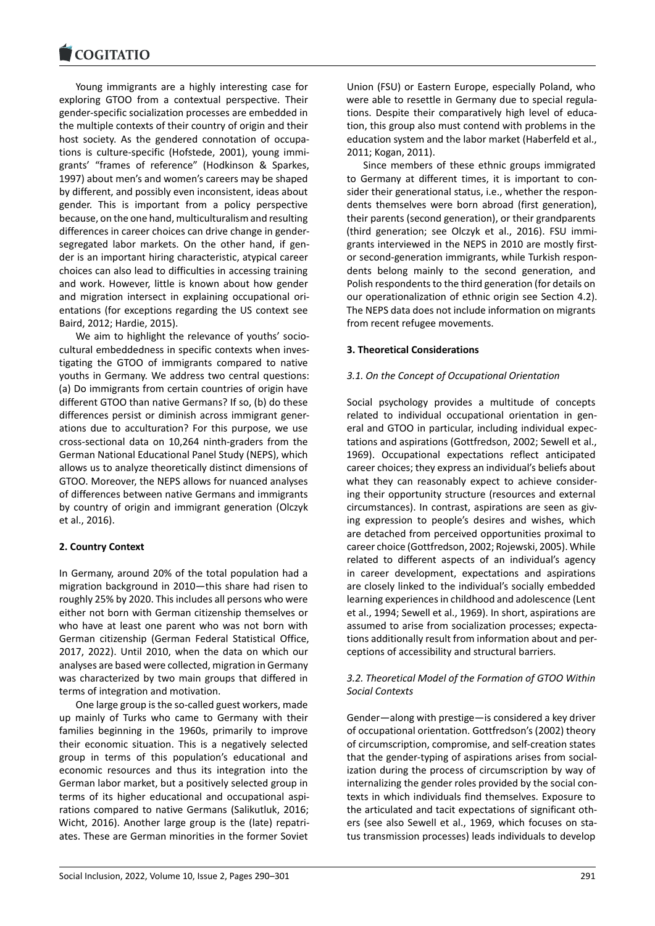#### COQUATIO

Young immigrants are a highly interesting case for [exploring GTOO fro](https://www.cogitatiopress.com)m a contextual perspective. Their gender‐specific socialization processes are embedded in the multiple contexts of their country of origin and their host society. As the gendered connotation of occupations is culture‐specific (Hofstede, 2001), young immi‐ grants' "frames of reference" (Hodkinson & Sparkes, 1997) about men's and women's careers may be shaped by different, and possibly even inconsistent, ideas about gender. This is important from a policy perspective because, on the one hand, multiculturalism and resulting differences in career choices can drive change in gender‐ segregated labor markets. On the other hand, if gender is an important hiring characteristic, atypical career choices can also lead to difficulties in accessing training and work. However, little is known about how gender and migration intersect in explaining occupational ori‐ entations (for exceptions regarding the US context see Baird, 2012; Hardie, 2015).

We aim to highlight the relevance of youths' sociocultural embeddedness in specific contexts when inves‐ tigating the GTOO of immigrants compared to native youths in Germany. We address two central questions: (a) Do immigrants from certain countries of origin have different GTOO than native Germans? If so, (b) do these differences persist or diminish across immigrant gener‐ ations due to acculturation? For this purpose, we use cross‐sectional data on 10,264 ninth‐graders from the German National Educational Panel Study (NEPS), which allows us to analyze theoretically distinct dimensions of GTOO. Moreover, the NEPS allows for nuanced analyses of differences between native Germans and immigrants by country of origin and immigrant generation (Olczyk et al., 2016).

# **2. Country Context**

In Germany, around 20% of the total population had a migration background in 2010—this share had risen to roughly 25% by 2020. This includes all persons who were either not born with German citizenship themselves or who have at least one parent who was not born with German citizenship (German Federal Statistical Office, 2017, 2022). Until 2010, when the data on which our analyses are based were collected, migration in Germany was characterized by two main groups that differed in terms of integration and motivation.

One large group is the so‐called guest workers, made up mainly of Turks who came to Germany with their families beginning in the 1960s, primarily to improve their economic situation. This is a negatively selected group in terms of this population's educational and economic resources and thus its integration into the German labor market, but a positively selected group in terms of its higher educational and occupational aspi‐ rations compared to native Germans (Salikutluk, 2016; Wicht, 2016). Another large group is the (late) repatri‐ ates. These are German minorities in the former Soviet Union (FSU) or Eastern Europe, especially Poland, who were able to resettle in Germany due to special regula‐ tions. Despite their comparatively high level of educa‐ tion, this group also must contend with problems in the education system and the labor market (Haberfeld et al., 2011; Kogan, 2011).

Since members of these ethnic groups immigrated to Germany at different times, it is important to con‐ sider their generational status, i.e., whether the respondents themselves were born abroad (first generation), their parents (second generation), or their grandparents (third generation; see Olczyk et al., 2016). FSU immi‐ grants interviewed in the NEPS in 2010 are mostly firstor second‐generation immigrants, while Turkish respon‐ dents belong mainly to the second generation, and Polish respondents to the third generation (for details on our operationalization of ethnic origin see Section 4.2). The NEPS data does not include information on migrants from recent refugee movements.

# **3. Theoretical Considerations**

# *3.1. On the Concept of Occupational Orientation*

Social psychology provides a multitude of concepts related to individual occupational orientation in gen‐ eral and GTOO in particular, including individual expec‐ tations and aspirations (Gottfredson, 2002; Sewell et al., 1969). Occupational expectations reflect anticipated career choices; they express an individual's beliefs about what they can reasonably expect to achieve consider‐ ing their opportunity structure (resources and external circumstances). In contrast, aspirations are seen as giv‐ ing expression to people's desires and wishes, which are detached from perceived opportunities proximal to career choice (Gottfredson, 2002; Rojewski, 2005). While related to different aspects of an individual's agency in career development, expectations and aspirations are closely linked to the individual's socially embedded learning experiences in childhood and adolescence (Lent et al., 1994; Sewell et al., 1969). In short, aspirations are assumed to arise from socialization processes; expecta‐ tions additionally result from information about and per‐ ceptions of accessibility and structural barriers.

# *3.2. Theoretical Model of the Formation of GTOO Within Social Contexts*

Gender—along with prestige—is considered a key driver of occupational orientation. Gottfredson's (2002) theory of circumscription, compromise, and self‐creation states that the gender‐typing of aspirations arises from social‐ ization during the process of circumscription by way of internalizing the gender roles provided by the social contexts in which individuals find themselves. Exposure to the articulated and tacit expectations of significant oth‐ ers (see also Sewell et al., 1969, which focuses on status transmission processes) leads individuals to develop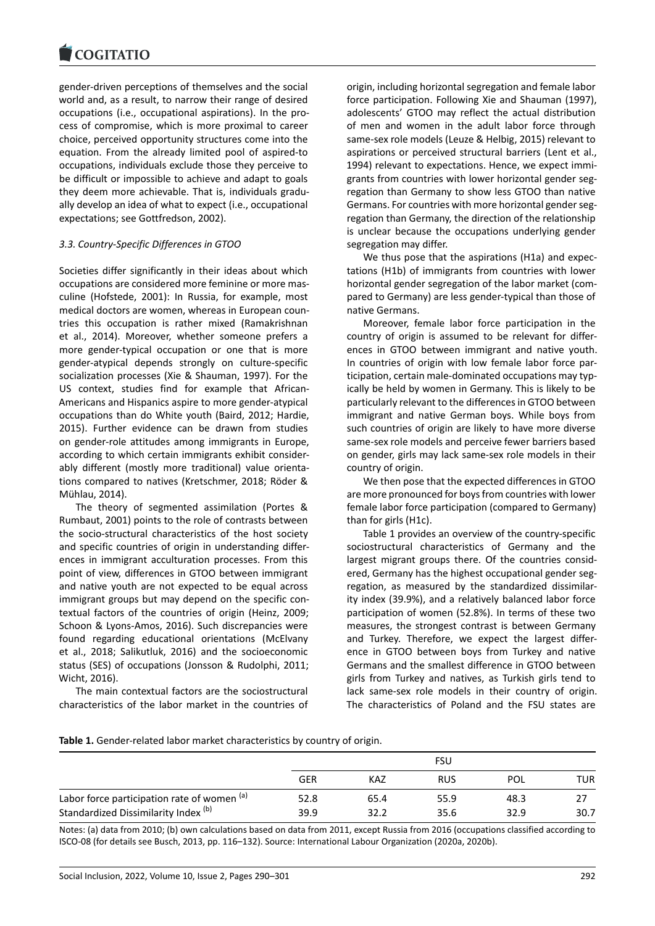#### COQUATIO

gender‐driven perceptions of themselves and the social [world and, as a resu](https://www.cogitatiopress.com)lt, to narrow their range of desired occupations (i.e., occupational aspirations). In the pro‐ cess of compromise, which is more proximal to career choice, perceived opportunity structures come into the equation. From the already limited pool of aspired‐to occupations, individuals exclude those they perceive to be difficult or impossible to achieve and adapt to goals they deem more achievable. That is, individuals gradu‐ ally develop an idea of what to expect (i.e., occupational expectations; see Gottfredson, 2002).

# *3.3. Country‐Specific Differences in GTOO*

Societies differ significantly in their ideas about which occupations are considered more feminine or more mas‐ culine (Hofstede, 2001): In Russia, for example, most medical doctors are women, whereas in European coun‐ tries this occupation is rather mixed (Ramakrishnan et al., 2014). Moreover, whether someone prefers a more gender‐typical occupation or one that is more gender‐atypical depends strongly on culture‐specific socialization processes (Xie & Shauman, 1997). For the US context, studies find for example that African‐ Americans and Hispanics aspire to more gender‐atypical occupations than do White youth (Baird, 2012; Hardie, 2015). Further evidence can be drawn from studies on gender‐role attitudes among immigrants in Europe, according to which certain immigrants exhibit consider‐ ably different (mostly more traditional) value orientations compared to natives (Kretschmer, 2018; Röder & Mühlau, 2014).

The theory of segmented assimilation (Portes & Rumbaut, 2001) points to the role of contrasts between the socio‐structural characteristics of the host society and specific countries of origin in understanding differ‐ ences in immigrant acculturation processes. From this point of view, differences in GTOO between immigrant and native youth are not expected to be equal across immigrant groups but may depend on the specific contextual factors of the countries of origin (Heinz, 2009; Schoon & Lyons‐Amos, 2016). Such discrepancies were found regarding educational orientations (McElvany et al., 2018; Salikutluk, 2016) and the socioeconomic status (SES) of occupations (Jonsson & Rudolphi, 2011; Wicht, 2016).

The main contextual factors are the sociostructural characteristics of the labor market in the countries of

origin, including horizontal segregation and female labor force participation. Following Xie and Shauman (1997), adolescents' GTOO may reflect the actual distribution of men and women in the adult labor force through same‐sex role models (Leuze & Helbig, 2015) relevant to aspirations or perceived structural barriers (Lent et al., 1994) relevant to expectations. Hence, we expect immi‐ grants from countries with lower horizontal gender seg‐ regation than Germany to show less GTOO than native Germans. For countries with more horizontal gender seg‐ regation than Germany, the direction of the relationship is unclear because the occupations underlying gender segregation may differ.

We thus pose that the aspirations (H1a) and expectations (H1b) of immigrants from countries with lower horizontal gender segregation of the labor market (com‐ pared to Germany) are less gender‐typical than those of native Germans.

Moreover, female labor force participation in the country of origin is assumed to be relevant for differ‐ ences in GTOO between immigrant and native youth. In countries of origin with low female labor force par‐ ticipation, certain male‐dominated occupations may typ‐ ically be held by women in Germany. This is likely to be particularly relevant to the differences in GTOO between immigrant and native German boys. While boys from such countries of origin are likely to have more diverse same‐sex role models and perceive fewer barriers based on gender, girls may lack same‐sex role models in their country of origin.

We then pose that the expected differences in GTOO are more pronounced for boys from countries with lower female labor force participation (compared to Germany) than for girls (H1c).

Table 1 provides an overview of the country‐specific sociostructural characteristics of Germany and the largest migrant groups there. Of the countries consid‐ ered, Germany has the highest occupational gender seg‐ regation, as measured by the standardized dissimilar‐ ity index (39.9%), and a relatively balanced labor force participation of women (52.8%). In terms of these two measures, the strongest contrast is between Germany and Turkey. Therefore, we expect the largest differ‐ ence in GTOO between boys from Turkey and native Germans and the smallest difference in GTOO between girls from Turkey and natives, as Turkish girls tend to lack same‐sex role models in their country of origin. The characteristics of Poland and the FSU states are

|                                             |            | FSU  |            |      |      |  |  |
|---------------------------------------------|------------|------|------------|------|------|--|--|
|                                             | <b>GER</b> | KAZ  | <b>RUS</b> | POL  | TUR  |  |  |
| Labor force participation rate of women (a) | 52.8       | 65.4 | 55.9       | 48.3 |      |  |  |
| Standardized Dissimilarity Index (b)        | 39.9       | 32.2 | 35.6       | 32.9 | 30.7 |  |  |

Notes: (a) data from 2010; (b) own calculations based on data from 2011, except Russia from 2016 (occupations classified according to ISCO‐08 (for details see Busch, 2013, pp. 116–132). Source: International Labour Organization (2020a, 2020b).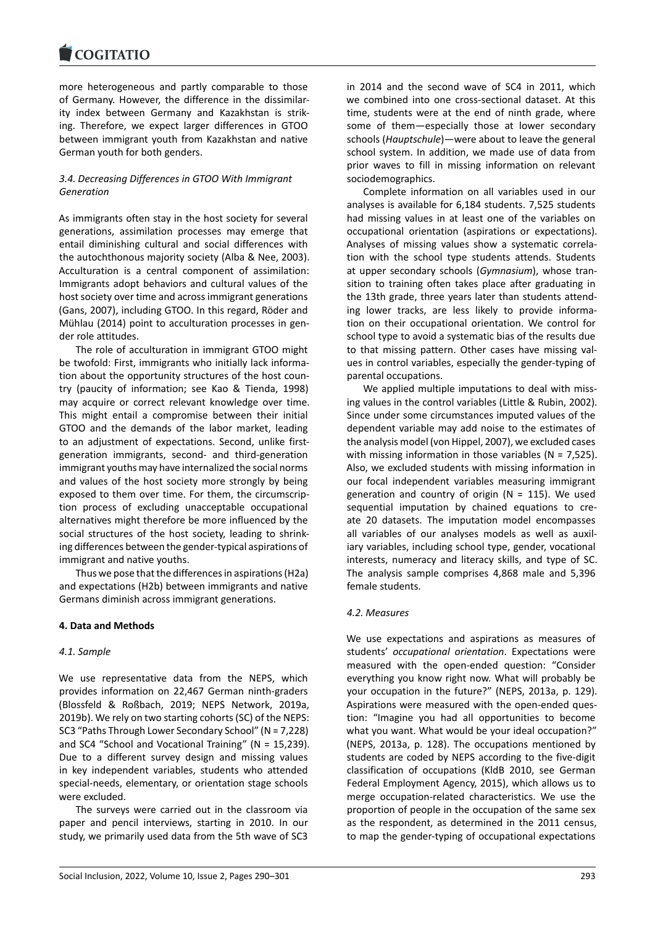#### **LOGITATIO**

more heterogeneous and partly comparable to those [of Germany. Howev](https://www.cogitatiopress.com)er, the difference in the dissimilar‐ ity index between Germany and Kazakhstan is strik‐ ing. Therefore, we expect larger differences in GTOO between immigrant youth from Kazakhstan and native German youth for both genders.

# *3.4. Decreasing Differences in GTOO With Immigrant Generation*

As immigrants often stay in the host society for several generations, assimilation processes may emerge that entail diminishing cultural and social differences with the autochthonous majority society (Alba & Nee, 2003). Acculturation is a central component of assimilation: Immigrants adopt behaviors and cultural values of the host society over time and across immigrant generations (Gans, 2007), including GTOO. In this regard, Röder and Mühlau (2014) point to acculturation processes in gen‐ der role attitudes.

The role of acculturation in immigrant GTOO might be twofold: First, immigrants who initially lack informa‐ tion about the opportunity structures of the host coun‐ try (paucity of information; see Kao & Tienda, 1998) may acquire or correct relevant knowledge over time. This might entail a compromise between their initial GTOO and the demands of the labor market, leading to an adjustment of expectations. Second, unlike firstgeneration immigrants, second‐ and third‐generation immigrant youths may have internalized the social norms and values of the host society more strongly by being exposed to them over time. For them, the circumscrip‐ tion process of excluding unacceptable occupational alternatives might therefore be more influenced by the social structures of the host society, leading to shrink‐ ing differences between the gender‐typical aspirations of immigrant and native youths.

Thus we pose that the differences in aspirations (H2a) and expectations (H2b) between immigrants and native Germans diminish across immigrant generations.

# **4. Data and Methods**

# *4.1. Sample*

We use representative data from the NEPS, which provides information on 22,467 German ninth‐graders (Blossfeld & Roßbach, 2019; NEPS Network, 2019a, 2019b). We rely on two starting cohorts (SC) of the NEPS: SC3 "Paths Through Lower Secondary School" (N = 7,228) and SC4 "School and Vocational Training" (N = 15,239). Due to a different survey design and missing values in key independent variables, students who attended special‐needs, elementary, or orientation stage schools were excluded.

The surveys were carried out in the classroom via paper and pencil interviews, starting in 2010. In our study, we primarily used data from the 5th wave of SC3 in 2014 and the second wave of SC4 in 2011, which we combined into one cross‐sectional dataset. At this time, students were at the end of ninth grade, where some of them—especially those at lower secondary schools (*Hauptschule*)—were about to leave the general school system. In addition, we made use of data from prior waves to fill in missing information on relevant sociodemographics.

Complete information on all variables used in our analyses is available for 6,184 students. 7,525 students had missing values in at least one of the variables on occupational orientation (aspirations or expectations). Analyses of missing values show a systematic correla‐ tion with the school type students attends. Students at upper secondary schools (*Gymnasium*), whose tran‐ sition to training often takes place after graduating in the 13th grade, three years later than students attend‐ ing lower tracks, are less likely to provide informa‐ tion on their occupational orientation. We control for school type to avoid a systematic bias of the results due to that missing pattern. Other cases have missing val‐ ues in control variables, especially the gender‐typing of parental occupations.

We applied multiple imputations to deal with missing values in the control variables (Little & Rubin, 2002). Since under some circumstances imputed values of the dependent variable may add noise to the estimates of the analysis model (von Hippel, 2007), we excluded cases with missing information in those variables (N = 7,525). Also, we excluded students with missing information in our focal independent variables measuring immigrant generation and country of origin ( $N = 115$ ). We used sequential imputation by chained equations to create 20 datasets. The imputation model encompasses all variables of our analyses models as well as auxil‐ iary variables, including school type, gender, vocational interests, numeracy and literacy skills, and type of SC. The analysis sample comprises 4,868 male and 5,396 female students.

# *4.2. Measures*

We use expectations and aspirations as measures of students' *occupational orientation*. Expectations were measured with the open‐ended question: "Consider everything you know right now. What will probably be your occupation in the future?" (NEPS, 2013a, p. 129). Aspirations were measured with the open‐ended ques‐ tion: "Imagine you had all opportunities to become what you want. What would be your ideal occupation?" (NEPS, 2013a, p. 128). The occupations mentioned by students are coded by NEPS according to the five-digit classification of occupations (KldB 2010, see German Federal Employment Agency, 2015), which allows us to merge occupation‐related characteristics. We use the proportion of people in the occupation of the same sex as the respondent, as determined in the 2011 census, to map the gender‐typing of occupational expectations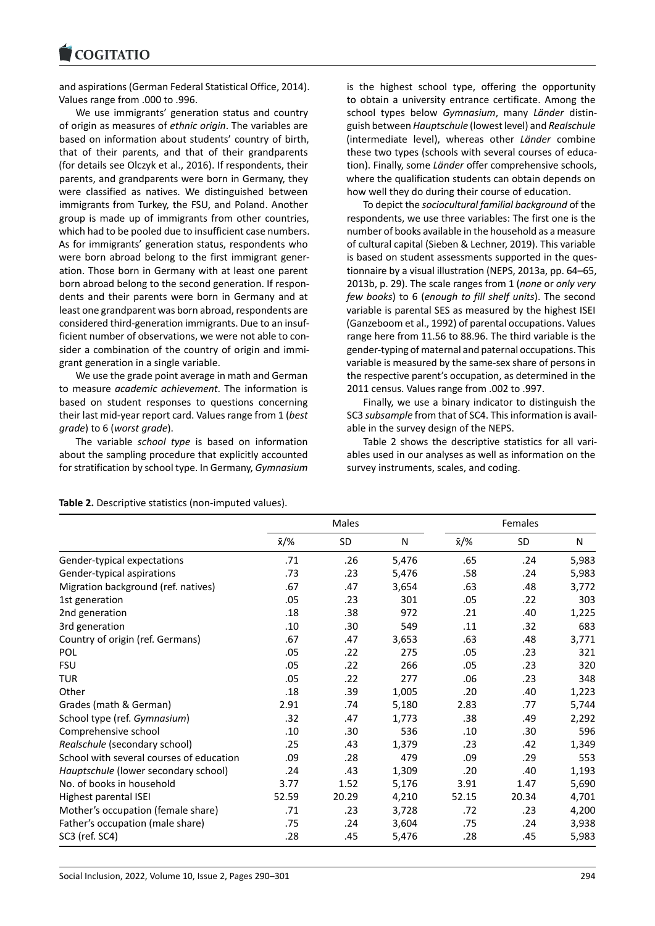#### COGITATIO

and aspirations (German Federal Statistical Office, 2014). [Values range from .0](https://www.cogitatiopress.com)00 to .996.

We use immigrants' generation status and country of origin as measures of *ethnic origin*. The variables are based on information about students' country of birth, that of their parents, and that of their grandparents (for details see Olczyk et al., 2016). If respondents, their parents, and grandparents were born in Germany, they were classified as natives. We distinguished between immigrants from Turkey, the FSU, and Poland. Another group is made up of immigrants from other countries, which had to be pooled due to insufficient case numbers. As for immigrants' generation status, respondents who were born abroad belong to the first immigrant gener‐ ation. Those born in Germany with at least one parent born abroad belong to the second generation. If respon‐ dents and their parents were born in Germany and at least one grandparent was born abroad, respondents are considered third‐generation immigrants. Due to an insuf‐ ficient number of observations, we were not able to con‐ sider a combination of the country of origin and immi‐ grant generation in a single variable.

We use the grade point average in math and German to measure *academic achievement*. The information is based on student responses to questions concerning their last mid‐year report card. Values range from 1 (*best grade*) to 6 (*worst grade*).

The variable *school type* is based on information about the sampling procedure that explicitly accounted for stratification by school type. In Germany, *Gymnasium* is the highest school type, offering the opportunity to obtain a university entrance certificate. Among the school types below *Gymnasium*, many *Länder* distin‐ guish between *Hauptschule* (lowest level) and *Realschule* (intermediate level), whereas other *Länder* combine these two types (schools with several courses of educa‐ tion). Finally, some *Länder* offer comprehensive schools, where the qualification students can obtain depends on how well they do during their course of education.

To depict the *sociocultural familial background* of the respondents, we use three variables: The first one is the number of books available in the household as a measure of cultural capital (Sieben & Lechner, 2019). This variable is based on student assessments supported in the questionnaire by a visual illustration (NEPS, 2013a, pp. 64–65, 2013b, p. 29). The scale ranges from 1 (*none* or *only very few books*) to 6 (*enough to fill shelf units*). The second variable is parental SES as measured by the highest ISEI (Ganzeboom et al., 1992) of parental occupations. Values range here from 11.56 to 88.96. The third variable is the gender‐typing of maternal and paternal occupations. This variable is measured by the same‐sex share of persons in the respective parent's occupation, as determined in the 2011 census. Values range from .002 to .997.

Finally, we use a binary indicator to distinguish the SC3 *subsample* from that of SC4. This information is avail‐ able in the survey design of the NEPS.

Table 2 shows the descriptive statistics for all vari‐ ables used in our analyses as well as information on the survey instruments, scales, and coding.

#### Table 2. Descriptive statistics (non-imputed values).

|                                          | Males |       |       | Females |       |       |
|------------------------------------------|-------|-------|-------|---------|-------|-------|
|                                          | х∕%   | SD    | N     | х∕%     | SD    | N     |
| Gender-typical expectations              | .71   | .26   | 5,476 | .65     | .24   | 5,983 |
| Gender-typical aspirations               | .73   | .23   | 5,476 | .58     | .24   | 5,983 |
| Migration background (ref. natives)      | .67   | .47   | 3,654 | .63     | .48   | 3,772 |
| 1st generation                           | .05   | .23   | 301   | .05     | .22   | 303   |
| 2nd generation                           | .18   | .38   | 972   | .21     | .40   | 1,225 |
| 3rd generation                           | .10   | .30   | 549   | .11     | .32   | 683   |
| Country of origin (ref. Germans)         | .67   | .47   | 3,653 | .63     | .48   | 3,771 |
| POL                                      | .05   | .22   | 275   | .05     | .23   | 321   |
| <b>FSU</b>                               | .05   | .22   | 266   | .05     | .23   | 320   |
| TUR                                      | .05   | .22   | 277   | .06     | .23   | 348   |
| Other                                    | .18   | .39   | 1,005 | .20     | .40   | 1,223 |
| Grades (math & German)                   | 2.91  | .74   | 5,180 | 2.83    | .77   | 5,744 |
| School type (ref. Gymnasium)             | .32   | .47   | 1,773 | .38     | .49   | 2,292 |
| Comprehensive school                     | .10   | .30   | 536   | .10     | .30   | 596   |
| Realschule (secondary school)            | .25   | .43   | 1,379 | .23     | .42   | 1,349 |
| School with several courses of education | .09   | .28   | 479   | .09     | .29   | 553   |
| Hauptschule (lower secondary school)     | .24   | .43   | 1,309 | .20     | .40   | 1,193 |
| No. of books in household                | 3.77  | 1.52  | 5,176 | 3.91    | 1.47  | 5,690 |
| Highest parental ISEI                    | 52.59 | 20.29 | 4,210 | 52.15   | 20.34 | 4,701 |
| Mother's occupation (female share)       | .71   | .23   | 3,728 | .72     | .23   | 4,200 |
| Father's occupation (male share)         | .75   | .24   | 3,604 | .75     | .24   | 3,938 |
| SC3 (ref. SC4)                           | .28   | .45   | 5,476 | .28     | .45   | 5,983 |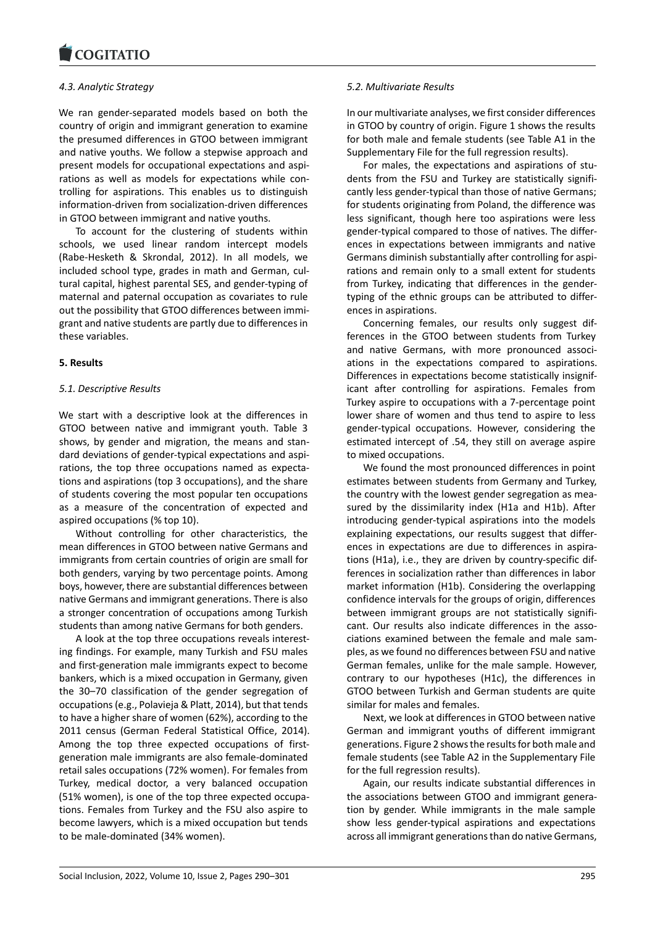### *4.3. Analytic Strategy*

[We ran gender‐sepa](https://www.cogitatiopress.com)rated models based on both the country of origin and immigrant generation to examine the presumed differences in GTOO between immigrant and native youths. We follow a stepwise approach and present models for occupational expectations and aspi‐ rations as well as models for expectations while con‐ trolling for aspirations. This enables us to distinguish information‐driven from socialization‐driven differences in GTOO between immigrant and native youths.

To account for the clustering of students within schools, we used linear random intercept models (Rabe‐Hesketh & Skrondal, 2012). In all models, we included school type, grades in math and German, cul‐ tural capital, highest parental SES, and gender‐typing of maternal and paternal occupation as covariates to rule out the possibility that GTOO differences between immi‐ grant and native students are partly due to differences in these variables.

### **5. Results**

### *5.1. Descriptive Results*

We start with a descriptive look at the differences in GTOO between native and immigrant youth. Table 3 shows, by gender and migration, the means and stan‐ dard deviations of gender‐typical expectations and aspi‐ rations, the top three occupations named as expecta‐ tions and aspirations (top 3 occupations), and the share of students covering the most popular ten occupations as a measure of the concentration of expected and aspired occupations (% top 10).

Without controlling for other characteristics, the mean differences in GTOO between native Germans and immigrants from certain countries of origin are small for both genders, varying by two percentage points. Among boys, however, there are substantial differences between native Germans and immigrant generations. There is also a stronger concentration of occupations among Turkish students than among native Germans for both genders.

A look at the top three occupations reveals interest‐ ing findings. For example, many Turkish and FSU males and first‐generation male immigrants expect to become bankers, which is a mixed occupation in Germany, given the 30–70 classification of the gender segregation of occupations (e.g., Polavieja & Platt, 2014), but that tends to have a higher share of women (62%), according to the 2011 census (German Federal Statistical Office, 2014). Among the top three expected occupations of firstgeneration male immigrants are also female‐dominated retail sales occupations (72% women). For females from Turkey, medical doctor, a very balanced occupation (51% women), is one of the top three expected occupa‐ tions. Females from Turkey and the FSU also aspire to become lawyers, which is a mixed occupation but tends to be male‐dominated (34% women).

### *5.2. Multivariate Results*

In our multivariate analyses, we first consider differences in GTOO by country of origin. Figure 1 shows the results for both male and female students (see Table A1 in the Supplementary File for the full regression results).

For males, the expectations and aspirations of stu‐ dents from the FSU and Turkey are statistically signifi‐ cantly less gender‐typical than those of native Germans; for students originating from Poland, the difference was less significant, though here too aspirations were less gender‐typical compared to those of natives. The differ‐ ences in expectations between immigrants and native Germans diminish substantially after controlling for aspi‐ rations and remain only to a small extent for students from Turkey, indicating that differences in the gender‐ typing of the ethnic groups can be attributed to differ‐ ences in aspirations.

Concerning females, our results only suggest dif‐ ferences in the GTOO between students from Turkey and native Germans, with more pronounced associ‐ ations in the expectations compared to aspirations. Differences in expectations become statistically insignif‐ icant after controlling for aspirations. Females from Turkey aspire to occupations with a 7‐percentage point lower share of women and thus tend to aspire to less gender‐typical occupations. However, considering the estimated intercept of .54, they still on average aspire to mixed occupations.

We found the most pronounced differences in point estimates between students from Germany and Turkey, the country with the lowest gender segregation as mea‐ sured by the dissimilarity index (H1a and H1b). After introducing gender‐typical aspirations into the models explaining expectations, our results suggest that differ‐ ences in expectations are due to differences in aspira‐ tions (H1a), i.e., they are driven by country‐specific dif‐ ferences in socialization rather than differences in labor market information (H1b). Considering the overlapping confidence intervals for the groups of origin, differences between immigrant groups are not statistically signifi‐ cant. Our results also indicate differences in the associations examined between the female and male sam‐ ples, as we found no differences between FSU and native German females, unlike for the male sample. However, contrary to our hypotheses (H1c), the differences in GTOO between Turkish and German students are quite similar for males and females.

Next, we look at differences in GTOO between native German and immigrant youths of different immigrant generations. Figure 2 shows the results for both male and female students (see Table A2 in the Supplementary File for the full regression results).

Again, our results indicate substantial differences in the associations between GTOO and immigrant genera‐ tion by gender. While immigrants in the male sample show less gender‐typical aspirations and expectations across all immigrant generations than do native Germans,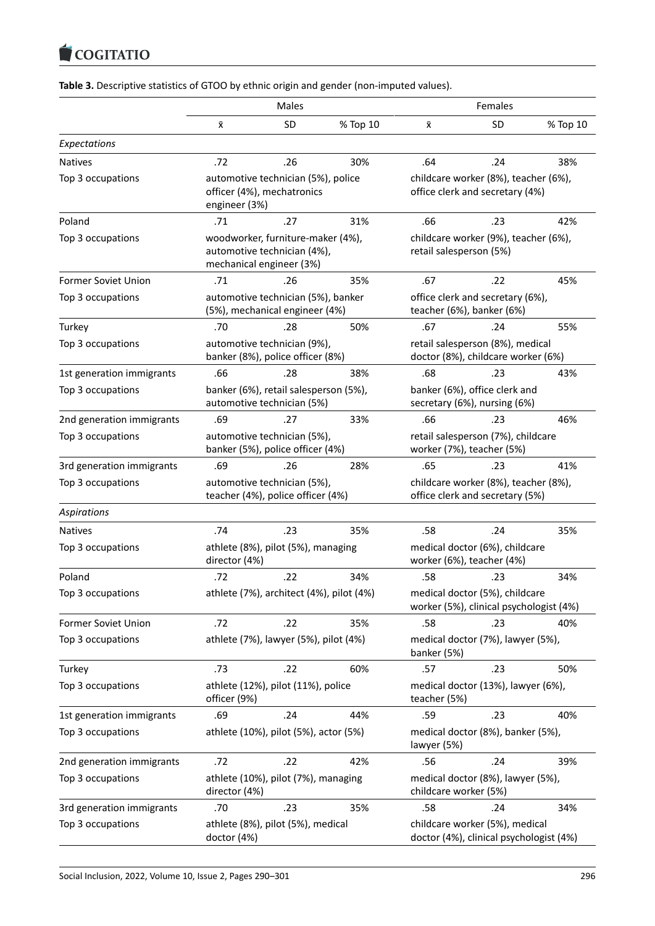#### $\blacksquare$  Coultain

| Table 3. Descriptive statistics of GTOO by ethnic origin and gender (non-imputed values). |  |  |  |
|-------------------------------------------------------------------------------------------|--|--|--|
|-------------------------------------------------------------------------------------------|--|--|--|

|                            | Males                                                                                        |           |          | Females                                                                   |     |          |  |
|----------------------------|----------------------------------------------------------------------------------------------|-----------|----------|---------------------------------------------------------------------------|-----|----------|--|
|                            | х                                                                                            | <b>SD</b> | % Top 10 | х                                                                         | SD  | % Top 10 |  |
| Expectations               |                                                                                              |           |          |                                                                           |     |          |  |
| <b>Natives</b>             | .72                                                                                          | .26       | 30%      | .64                                                                       | .24 | 38%      |  |
| Top 3 occupations          | automotive technician (5%), police<br>officer (4%), mechatronics<br>engineer (3%)            |           |          | childcare worker (8%), teacher (6%),<br>office clerk and secretary (4%)   |     |          |  |
| Poland                     | .71                                                                                          | .27       | 31%      | .66                                                                       | .23 | 42%      |  |
| Top 3 occupations          | woodworker, furniture-maker (4%),<br>automotive technician (4%),<br>mechanical engineer (3%) |           |          | childcare worker (9%), teacher (6%),<br>retail salesperson (5%)           |     |          |  |
| <b>Former Soviet Union</b> | .71                                                                                          | .26       | 35%      | .67                                                                       | .22 | 45%      |  |
| Top 3 occupations          | automotive technician (5%), banker<br>(5%), mechanical engineer (4%)                         |           |          | office clerk and secretary (6%),<br>teacher (6%), banker (6%)             |     |          |  |
| Turkey                     | .70                                                                                          | .28       | 50%      | .67                                                                       | .24 | 55%      |  |
| Top 3 occupations          | automotive technician (9%),<br>banker (8%), police officer (8%)                              |           |          | retail salesperson (8%), medical<br>doctor (8%), childcare worker (6%)    |     |          |  |
| 1st generation immigrants  | .66                                                                                          | .28       | 38%      | .68                                                                       | .23 | 43%      |  |
| Top 3 occupations          | banker (6%), retail salesperson (5%),<br>automotive technician (5%)                          |           |          | banker (6%), office clerk and<br>secretary (6%), nursing (6%)             |     |          |  |
| 2nd generation immigrants  | .69                                                                                          | .27       | 33%      | .66                                                                       | .23 | 46%      |  |
| Top 3 occupations          | automotive technician (5%),<br>banker (5%), police officer (4%)                              |           |          | retail salesperson (7%), childcare<br>worker (7%), teacher (5%)           |     |          |  |
| 3rd generation immigrants  | .69                                                                                          | .26       | 28%      | .65                                                                       | .23 | 41%      |  |
| Top 3 occupations          | automotive technician (5%),<br>teacher (4%), police officer (4%)                             |           |          | childcare worker (8%), teacher (8%),<br>office clerk and secretary (5%)   |     |          |  |
| <b>Aspirations</b>         |                                                                                              |           |          |                                                                           |     |          |  |
| <b>Natives</b>             | .74                                                                                          | .23       | 35%      | .58                                                                       | .24 | 35%      |  |
| Top 3 occupations          | athlete (8%), pilot (5%), managing<br>director (4%)                                          |           |          | medical doctor (6%), childcare<br>worker (6%), teacher (4%)               |     |          |  |
| Poland                     | .72                                                                                          | .22       | 34%      | .58                                                                       | .23 | 34%      |  |
| Top 3 occupations          | athlete (7%), architect (4%), pilot (4%)                                                     |           |          | medical doctor (5%), childcare<br>worker (5%), clinical psychologist (4%) |     |          |  |
| Former Soviet Union        | .72                                                                                          | .22       | 35%      | .58                                                                       | .23 | 40%      |  |
| Top 3 occupations          | athlete (7%), lawyer (5%), pilot (4%)                                                        |           |          | medical doctor (7%), lawyer (5%),<br>banker (5%)                          |     |          |  |
| Turkey                     | .73                                                                                          | .22       | 60%      | .57                                                                       | .23 | 50%      |  |
| Top 3 occupations          | athlete (12%), pilot (11%), police<br>officer (9%)                                           |           |          | medical doctor (13%), lawyer (6%),<br>teacher (5%)                        |     |          |  |
| 1st generation immigrants  | .69                                                                                          | .24       | 44%      | .59                                                                       | .23 | 40%      |  |
| Top 3 occupations          | athlete (10%), pilot (5%), actor (5%)                                                        |           |          | medical doctor (8%), banker (5%),<br>lawyer (5%)                          |     |          |  |
| 2nd generation immigrants  | .72                                                                                          | .22       | 42%      | .56                                                                       | .24 | 39%      |  |
| Top 3 occupations          | athlete (10%), pilot (7%), managing<br>director (4%)                                         |           |          | medical doctor (8%), lawyer (5%),<br>childcare worker (5%)                |     |          |  |
| 3rd generation immigrants  | .70                                                                                          | .23       | 35%      | .58                                                                       | .24 | 34%      |  |
| Top 3 occupations          | athlete (8%), pilot (5%), medical<br>doctor (4%)                                             |           |          | childcare worker (5%), medical<br>doctor (4%), clinical psychologist (4%) |     |          |  |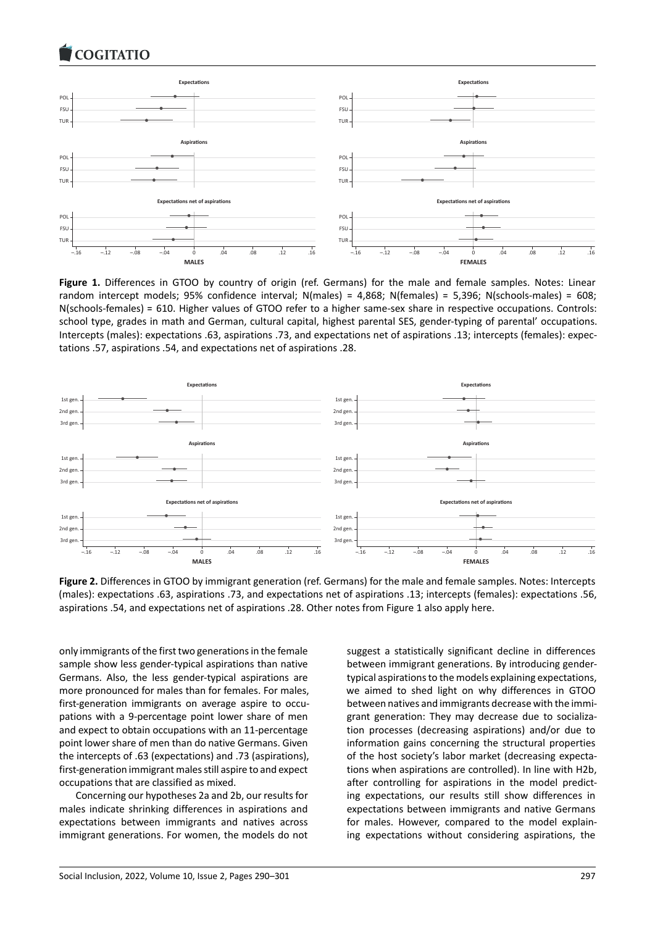

**Figure 1.** Differences in GTOO by country of origin (ref. Germans) for the male and female samples. Notes: Linear random intercept models; 95% confidence interval; N(males) = 4,868; N(females) = 5,396; N(schools‐males) = 608; N(schools‐females) = 610. Higher values of GTOO refer to a higher same‐sex share in respective occupations. Controls: school type, grades in math and German, cultural capital, highest parental SES, gender‐typing of parental' occupations. Intercepts (males): expectations .63, aspirations .73, and expectations net of aspirations .13; intercepts (females): expec‐ tations .57, aspirations .54, and expectations net of aspirations .28.



**Figure 2.** Differences in GTOO by immigrant generation (ref. Germans) for the male and female samples. Notes: Intercepts (males): expectations .63, aspirations .73, and expectations net of aspirations .13; intercepts (females): expectations .56, aspirations .54, and expectations net of aspirations .28. Other notes from Figure 1 also apply here.

only immigrants of the first two generations in the female sample show less gender-typical aspirations than native Germans. Also, the less gender‐typical aspirations are more pronounced for males than for females. For males, first-generation immigrants on average aspire to occupations with a 9‐percentage point lower share of men and expect to obtain occupations with an 11‐percentage point lower share of men than do native Germans. Given the intercepts of .63 (expectations) and .73 (aspirations), first-generation immigrant males still aspire to and expect occupations that are classified as mixed.

Concerning our hypotheses 2a and 2b, our results for males indicate shrinking differences in aspirations and expectations between immigrants and natives across immigrant generations. For women, the models do not

suggest a statistically significant decline in differences between immigrant generations. By introducing gender‐ typical aspirations to the models explaining expectations, we aimed to shed light on why differences in GTOO between natives and immigrants decrease with the immi‐ grant generation: They may decrease due to socializa‐ tion processes (decreasing aspirations) and/or due to information gains concerning the structural properties of the host society's labor market (decreasing expecta‐ tions when aspirations are controlled). In line with H2b, after controlling for aspirations in the model predicting expectations, our results still show differences in expectations between immigrants and native Germans for males. However, compared to the model explaining expectations without considering aspirations, the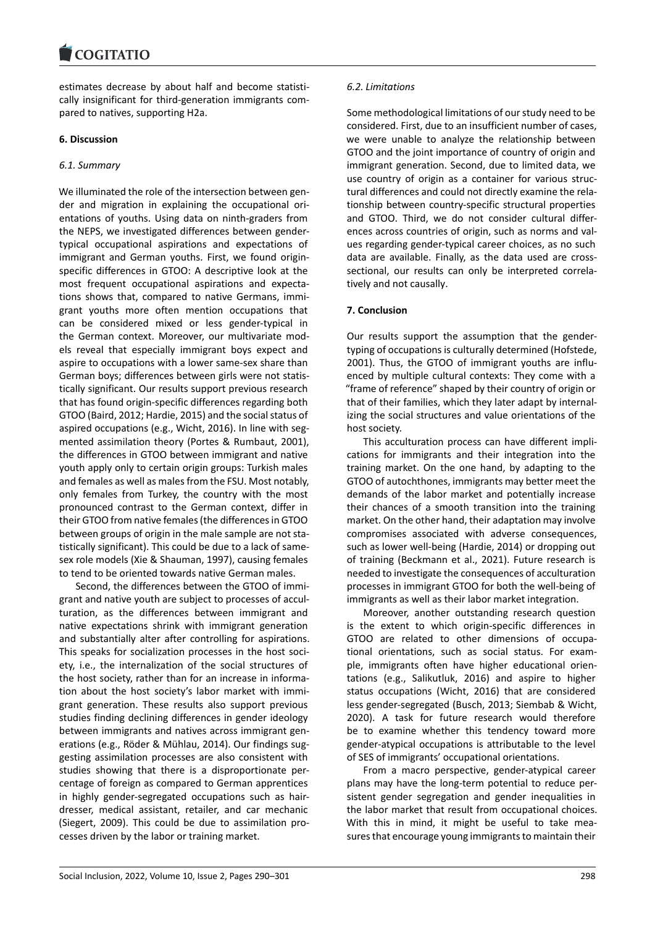#### COMITATIO

estimates decrease by about half and become statisti‐ [cally insignificant for](https://www.cogitatiopress.com) third‐generation immigrants com‐ pared to natives, supporting H2a.

### **6. Discussion**

### *6.1. Summary*

We illuminated the role of the intersection between gender and migration in explaining the occupational ori‐ entations of youths. Using data on ninth‐graders from the NEPS, we investigated differences between gender‐ typical occupational aspirations and expectations of immigrant and German youths. First, we found origin‐ specific differences in GTOO: A descriptive look at the most frequent occupational aspirations and expecta‐ tions shows that, compared to native Germans, immi‐ grant youths more often mention occupations that can be considered mixed or less gender‐typical in the German context. Moreover, our multivariate mod‐ els reveal that especially immigrant boys expect and aspire to occupations with a lower same‐sex share than German boys; differences between girls were not statis‐ tically significant. Our results support previous research that has found origin‐specific differences regarding both GTOO (Baird, 2012; Hardie, 2015) and the social status of aspired occupations (e.g., Wicht, 2016). In line with segmented assimilation theory (Portes & Rumbaut, 2001), the differences in GTOO between immigrant and native youth apply only to certain origin groups: Turkish males and females as well as males from the FSU. Most notably, only females from Turkey, the country with the most pronounced contrast to the German context, differ in their GTOO from native females (the differences in GTOO between groups of origin in the male sample are not statistically significant). This could be due to a lack of same‐ sex role models (Xie & Shauman, 1997), causing females to tend to be oriented towards native German males.

Second, the differences between the GTOO of immi‐ grant and native youth are subject to processes of accul‐ turation, as the differences between immigrant and native expectations shrink with immigrant generation and substantially alter after controlling for aspirations. This speaks for socialization processes in the host soci‐ ety, i.e., the internalization of the social structures of the host society, rather than for an increase in informa‐ tion about the host society's labor market with immi‐ grant generation. These results also support previous studies finding declining differences in gender ideology between immigrants and natives across immigrant gen‐ erations (e.g., Röder & Mühlau, 2014). Our findings sug‐ gesting assimilation processes are also consistent with studies showing that there is a disproportionate per‐ centage of foreign as compared to German apprentices in highly gender‐segregated occupations such as hair‐ dresser, medical assistant, retailer, and car mechanic (Siegert, 2009). This could be due to assimilation pro‐ cesses driven by the labor or training market.

### *6.2. Limitations*

Some methodological limitations of our study need to be considered. First, due to an insufficient number of cases, we were unable to analyze the relationship between GTOO and the joint importance of country of origin and immigrant generation. Second, due to limited data, we use country of origin as a container for various struc‐ tural differences and could not directly examine the rela‐ tionship between country‐specific structural properties and GTOO. Third, we do not consider cultural differ‐ ences across countries of origin, such as norms and val‐ ues regarding gender‐typical career choices, as no such data are available. Finally, as the data used are cross‐ sectional, our results can only be interpreted correlatively and not causally.

### **7. Conclusion**

Our results support the assumption that the gender‐ typing of occupations is culturally determined (Hofstede, 2001). Thus, the GTOO of immigrant youths are influ‐ enced by multiple cultural contexts: They come with a "frame of reference" shaped by their country of origin or that of their families, which they later adapt by internal‐ izing the social structures and value orientations of the host society.

This acculturation process can have different impli‐ cations for immigrants and their integration into the training market. On the one hand, by adapting to the GTOO of autochthones, immigrants may better meet the demands of the labor market and potentially increase their chances of a smooth transition into the training market. On the other hand, their adaptation may involve compromises associated with adverse consequences, such as lower well‐being (Hardie, 2014) or dropping out of training (Beckmann et al., 2021). Future research is needed to investigate the consequences of acculturation processes in immigrant GTOO for both the well‐being of immigrants as well as their labor market integration.

Moreover, another outstanding research question is the extent to which origin‐specific differences in GTOO are related to other dimensions of occupa‐ tional orientations, such as social status. For exam‐ ple, immigrants often have higher educational orientations (e.g., Salikutluk, 2016) and aspire to higher status occupations (Wicht, 2016) that are considered less gender‐segregated (Busch, 2013; Siembab & Wicht, 2020). A task for future research would therefore be to examine whether this tendency toward more gender‐atypical occupations is attributable to the level of SES of immigrants' occupational orientations.

From a macro perspective, gender‐atypical career plans may have the long‐term potential to reduce per‐ sistent gender segregation and gender inequalities in the labor market that result from occupational choices. With this in mind, it might be useful to take measures that encourage young immigrants to maintain their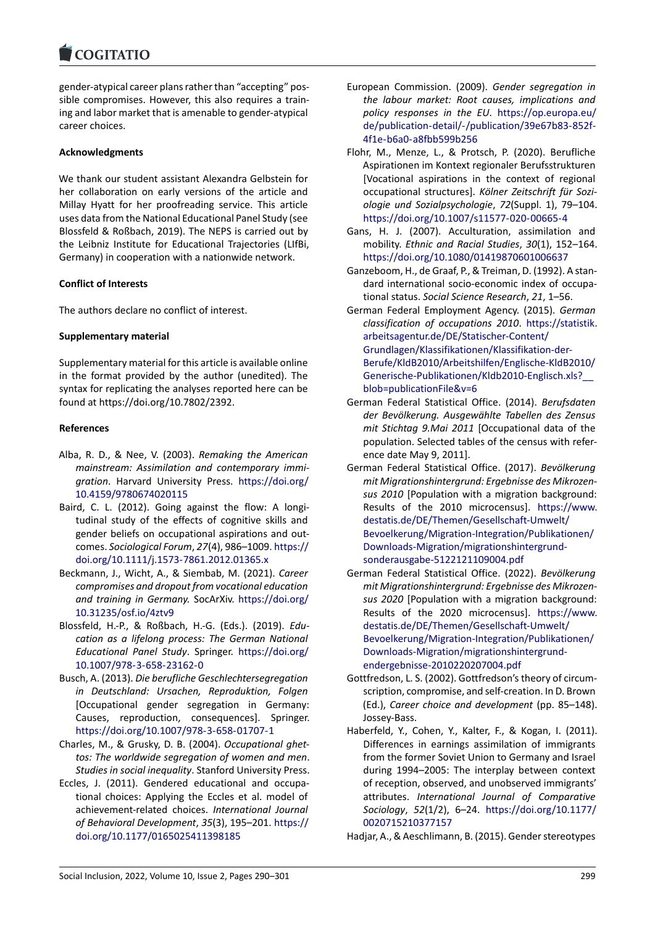#### **LOGITATIO**

gender‐atypical career plans rather than "accepting" pos‐ [sible compromises. H](https://www.cogitatiopress.com)owever, this also requires a train‐ ing and labor market that is amenable to gender‐atypical career choices.

### **Acknowledgments**

We thank our student assistant Alexandra Gelbstein for her collaboration on early versions of the article and Millay Hyatt for her proofreading service. This article uses data from the National Educational Panel Study (see Blossfeld & Roßbach, 2019). The NEPS is carried out by the Leibniz Institute for Educational Trajectories (LIfBi, Germany) in cooperation with a nationwide network.

### **Conflict of Interests**

The authors declare no conflict of interest.

#### **Supplementary material**

Supplementary material for this article is available online in the format provided by the author (unedited). The syntax for replicating the analyses reported here can be found at https://doi.org/10.7802/2392.

#### **References**

- Alba, R. [D., & Nee, V. \(2003\).](https://doi.org/10.7802/2392) *Remaking the American mainstream: Assimilation and contemporary immi‐ gration*. Harvard University Press. https://doi.org/ 10.4159/9780674020115
- Baird, C. L. (2012). Going against the flow: A longitudinal study of the effects of cognitive skills and gender beliefs on occupational aspi[rations and out‐](https://doi.org/10.4159/9780674020115) comes. *[Sociological Forum](https://doi.org/10.4159/9780674020115)*, *27*(4), 986–1009. https:// doi.org/10.1111/j.1573‐7861.2012.01365.x
- Beckmann, J., Wicht, A., & Siembab, M. (2021). *Career compromises and dropout from vocational education and training in Germany.* SocArXiv. https://[doi.org/](https://doi.org/10.1111/j.1573-7861.2012.01365.x) [10.31235/osf.io/4ztv9](https://doi.org/10.1111/j.1573-7861.2012.01365.x)
- Blossfeld, H.‐P., & Roßbach, H.‐G. (Eds.). (2019). *Edu‐ cation as a lifelong process: The German National Educational Panel Study*. Springer. [https://doi.org/](https://doi.org/10.31235/osf.io/4ztv9) [10.1007/978‐3‐658‐23](https://doi.org/10.31235/osf.io/4ztv9)162‐0
- Busch, A. (2013). *Die berufliche Geschlechtersegregation in Deutschland: Ursachen, Reproduktion, Folgen* [Occupational gender segregatio[n in Germany:](https://doi.org/10.1007/978-3-658-23162-0) [Causes, reproduction, con](https://doi.org/10.1007/978-3-658-23162-0)sequences]. Springer. https://doi.org/10.1007/978‐3‐658‐01707‐1
- Charles, M., & Grusky, D. B. (2004). *Occupational ghet‐ tos: The worldwide segregation of women and men*. *Studies in social inequality*. Stanford University Press.
- Ecc[les, J. \(2011\). Gendered educational and](https://doi.org/10.1007/978-3-658-01707-1) occupa‐ tional choices: Applying the Eccles et al. model of achievement‐related choices. *International Journal of Behavioral Development*, *35*(3), 195–201. https:// doi.org/10.1177/0165025411398185
- European Commission. (2009). *Gender segregation in the labour market: Root causes, implications and policy responses in the EU*. https://op.europa.eu/ de/publication‐detail/‐/publication/39e67b83‐852f‐ 4f1e‐b6a0‐a8fbb599b256
- Flohr, M., Menze, L., & Protsch, P. (2020). Berufliche Aspirationen im Kontext regio[naler Berufsstrukturen](https://op.europa.eu/de/publication-detail/-/publication/39e67b83-852f-4f1e-b6a0-a8fbb599b256) [\[Vocational aspirations in the context of regional](https://op.europa.eu/de/publication-detail/-/publication/39e67b83-852f-4f1e-b6a0-a8fbb599b256) [occupational structures\].](https://op.europa.eu/de/publication-detail/-/publication/39e67b83-852f-4f1e-b6a0-a8fbb599b256) *Kölner Zeitschrift für Sozi‐ ologie und Sozialpsychologie*, *72*(Suppl. 1), 79–104. https://doi.org/10.1007/s11577‐020‐00665‐4
- Gans, H. J. (2007). Acculturation, assimilation and mobility. *Ethnic and Racial Studies*, *30*(1), 152–164. https://doi.org/10.1080/01419870601006637
- Ga[nzeboom, H., de Graaf, P., & Treiman, D. \(1992\). A](https://doi.org/10.1007/s11577-020-00665-4) stan‐ dard international socio‐economic index of occupa‐ tional status. *Social Science Research*, *21*, 1–56.

Ge[rman Federal Employment Agency. \(2015\).](https://doi.org/10.1080/01419870601006637) *German classification of occupations 2010*. https://statistik. arbeitsagentur.de/DE/Statischer‐Content/ Grundlagen/Klassifikationen/Klassifikation‐der‐ Berufe/KldB2010/Arbeitshilfen/Englische‐KldB2010/ Generische‐Publikationen/Kldb2010[‐Englisch.xls?\\_\\_](https://statistik.arbeitsagentur.de/DE/Statischer-Content/Grundlagen/Klassifikationen/Klassifikation-der-Berufe/KldB2010/Arbeitshilfen/Englische-KldB2010/Generische-Publikationen/Kldb2010-Englisch.xls?__blob=publicationFile&v=6) [blob=publicationFile&v=6](https://statistik.arbeitsagentur.de/DE/Statischer-Content/Grundlagen/Klassifikationen/Klassifikation-der-Berufe/KldB2010/Arbeitshilfen/Englische-KldB2010/Generische-Publikationen/Kldb2010-Englisch.xls?__blob=publicationFile&v=6)

- Ge[rman Federal Statistical Office. \(2014\).](https://statistik.arbeitsagentur.de/DE/Statischer-Content/Grundlagen/Klassifikationen/Klassifikation-der-Berufe/KldB2010/Arbeitshilfen/Englische-KldB2010/Generische-Publikationen/Kldb2010-Englisch.xls?__blob=publicationFile&v=6) *Berufsdaten [der Bevölkerung. Ausgewählte Tabellen des Zensus](https://statistik.arbeitsagentur.de/DE/Statischer-Content/Grundlagen/Klassifikationen/Klassifikation-der-Berufe/KldB2010/Arbeitshilfen/Englische-KldB2010/Generische-Publikationen/Kldb2010-Englisch.xls?__blob=publicationFile&v=6) mit Stichtag 9.Mai 2011* [\[Occupational data of the](https://statistik.arbeitsagentur.de/DE/Statischer-Content/Grundlagen/Klassifikationen/Klassifikation-der-Berufe/KldB2010/Arbeitshilfen/Englische-KldB2010/Generische-Publikationen/Kldb2010-Englisch.xls?__blob=publicationFile&v=6) [population. Selected table](https://statistik.arbeitsagentur.de/DE/Statischer-Content/Grundlagen/Klassifikationen/Klassifikation-der-Berufe/KldB2010/Arbeitshilfen/Englische-KldB2010/Generische-Publikationen/Kldb2010-Englisch.xls?__blob=publicationFile&v=6)s of the census with refer‐ ence date May 9, 2011].
- German Federal Statistical Office. (2017). *Bevölkerung mit Migrationshintergrund: Ergebnisse des Mikrozen‐ sus 2010* [Population with a migration background: Results of the 2010 microcensus]. https://www. destatis.de/DE/Themen/Gesellschaft‐Umwelt/ Bevoelkerung/Migration-Integration/Publikationen/ Downloads‐Migration/migrationshintergrund‐ sonderausgabe‐5122121109004.pdf
- Ge[rman Federal Statistical Office. \(2022\).](https://www.destatis.de/DE/Themen/Gesellschaft-Umwelt/Bevoelkerung/Migration-Integration/Publikationen/Downloads-Migration/migrationshintergrund-sonderausgabe-5122121109004.pdf) *[Bevölkerung](https://www.destatis.de/DE/Themen/Gesellschaft-Umwelt/Bevoelkerung/Migration-Integration/Publikationen/Downloads-Migration/migrationshintergrund-sonderausgabe-5122121109004.pdf) [mit Migrationshintergrund: Ergebnisse des Mikrozen‐](https://www.destatis.de/DE/Themen/Gesellschaft-Umwelt/Bevoelkerung/Migration-Integration/Publikationen/Downloads-Migration/migrationshintergrund-sonderausgabe-5122121109004.pdf) sus 2020* [\[Population with a migration backgr](https://www.destatis.de/DE/Themen/Gesellschaft-Umwelt/Bevoelkerung/Migration-Integration/Publikationen/Downloads-Migration/migrationshintergrund-sonderausgabe-5122121109004.pdf)ound: [Results of the 2020 microcensus](https://www.destatis.de/DE/Themen/Gesellschaft-Umwelt/Bevoelkerung/Migration-Integration/Publikationen/Downloads-Migration/migrationshintergrund-sonderausgabe-5122121109004.pdf)]. https://www. destatis.de/DE/Themen/Gesellschaft‐Umwelt/ Bevoelkerung/Migration-Integration/Publikationen/ Downloads‐Migration/migrationshintergrund‐ endergebnisse‐2010220207004.pdf
- Go[ttfredson, L. S. \(2002\). Gottfredson's theory of circum‐](https://www.destatis.de/DE/Themen/Gesellschaft-Umwelt/Bevoelkerung/Migration-Integration/Publikationen/Downloads-Migration/migrationshintergrund-endergebnisse-2010220207004.pdf) [scription, compromise, and self‐creation. In D. Brown](https://www.destatis.de/DE/Themen/Gesellschaft-Umwelt/Bevoelkerung/Migration-Integration/Publikationen/Downloads-Migration/migrationshintergrund-endergebnisse-2010220207004.pdf) (Ed.), *[Career choice and development](https://www.destatis.de/DE/Themen/Gesellschaft-Umwelt/Bevoelkerung/Migration-Integration/Publikationen/Downloads-Migration/migrationshintergrund-endergebnisse-2010220207004.pdf)* (pp. 85–148). [Jossey‐Bass.](https://www.destatis.de/DE/Themen/Gesellschaft-Umwelt/Bevoelkerung/Migration-Integration/Publikationen/Downloads-Migration/migrationshintergrund-endergebnisse-2010220207004.pdf)
- Haberfeld, Y., Cohen, Y., Kalter, F., & Kogan, I. (2011). Differences in earnings assimilation of immigrants from the former Soviet Union to Germany and Israel during 1994–2005: The interplay between context of reception, observed, and unobserved immigrants' attributes. *International Journal of Comparative Sociology*, *52*(1/2), 6–24. https://doi.org/10.1177/ 0020715210377157

Hadjar, A., & Aeschlimann, B. (2015). Gender stereotypes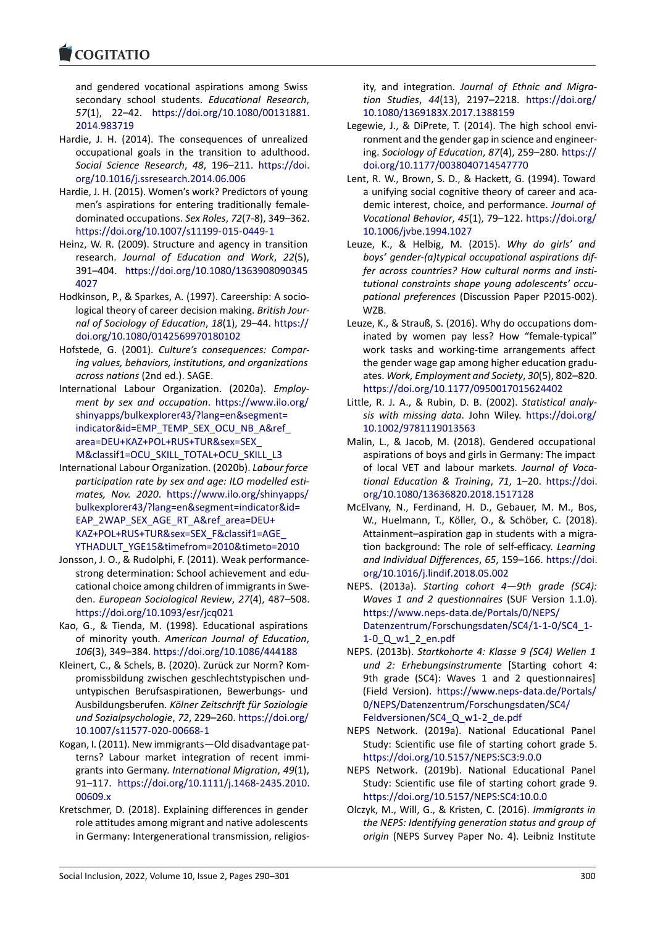#### COGITATIO

and gendered vocational aspirations among Swiss [secondary schoo](https://www.cogitatiopress.com)l students. *Educational Research*, *57*(1), 22–42. https://doi.org/10.1080/00131881. 2014.983719

- Hardie, J. H. (2014). The consequences of unrealized occupational goals in the transition to adulthood. *Social Science Research*, *48*, 196–211. [https://doi.](https://doi.org/10.1080/00131881.2014.983719) [org/10.1016/](https://doi.org/10.1080/00131881.2014.983719)j.ssresearch.2014.06.006
- Hardie, J. H. (2015). Women's work? Predictors of young men's aspirations for entering traditionally female‐ dominated occupations. *Sex Roles*, *72*(7‐[8\), 349–362.](https://doi.org/10.1016/j.ssresearch.2014.06.006) [https://doi.org/10.1007/s11199‐015‐0](https://doi.org/10.1016/j.ssresearch.2014.06.006)449‐1
- Heinz, W. R. (2009). Structure and agency in transition research. *Journal of Education and Work*, *22*(5), 391–404. https://doi.org/10.1080/1363908090345 [4027](https://doi.org/10.1007/s11199-015-0449-1)
- Hodkinson, P., & Sparkes, A. (1997). Careership: A socio‐ logical theory of career decision making. *British Jour‐ nal of Soci[ology of Education](https://doi.org/10.1080/13639080903454027)*, *18*(1), 29–44. https:// [doi.o](https://doi.org/10.1080/13639080903454027)rg/10.1080/0142569970180102
- Hofstede, G. (2001). *Culture's consequences: Compar‐ ing values, behaviors, institutions, and organizations across nations* (2nd ed.). SAGE.
- Int[ernational Labour Organization. \(20](https://doi.org/10.1080/0142569970180102)20a). *[Employ‐](https://doi.org/10.1080/0142569970180102) ment by sex and occupation*. https://www.ilo.org/ shinyapps/bulkexplorer43/?lang=en&segment= indicator&id=EMP\_TEMP\_SEX\_OCU\_NB\_A&ref\_ area=DEU+KAZ+POL+RUS+TUR&sex=SEX\_ M&classif1=OCU\_SKILL\_TOTAL[+OCU\\_SKILL\\_L3](https://www.ilo.org/shinyapps/bulkexplorer43/?lang=en&segment=indicator&id=EMP_TEMP_SEX_OCU_NB_A&ref_area=DEU+KAZ+POL+RUS+TUR&sex=SEX_M&classif1=OCU_SKILL_TOTAL+OCU_SKILL_L3)
- Int[ernational Labour Organization. \(2020b\).](https://www.ilo.org/shinyapps/bulkexplorer43/?lang=en&segment=indicator&id=EMP_TEMP_SEX_OCU_NB_A&ref_area=DEU+KAZ+POL+RUS+TUR&sex=SEX_M&classif1=OCU_SKILL_TOTAL+OCU_SKILL_L3) *Labour force [participation rate by sex and age: ILO modelled e](https://www.ilo.org/shinyapps/bulkexplorer43/?lang=en&segment=indicator&id=EMP_TEMP_SEX_OCU_NB_A&ref_area=DEU+KAZ+POL+RUS+TUR&sex=SEX_M&classif1=OCU_SKILL_TOTAL+OCU_SKILL_L3)sti‐ mates, Nov. 2020*. [https://www.ilo.org/s](https://www.ilo.org/shinyapps/bulkexplorer43/?lang=en&segment=indicator&id=EMP_TEMP_SEX_OCU_NB_A&ref_area=DEU+KAZ+POL+RUS+TUR&sex=SEX_M&classif1=OCU_SKILL_TOTAL+OCU_SKILL_L3)hinyapps/ [bulkexplorer43/?lang=en&segment=indicator&](https://www.ilo.org/shinyapps/bulkexplorer43/?lang=en&segment=indicator&id=EMP_TEMP_SEX_OCU_NB_A&ref_area=DEU+KAZ+POL+RUS+TUR&sex=SEX_M&classif1=OCU_SKILL_TOTAL+OCU_SKILL_L3)id= EAP\_2WAP\_SEX\_AGE\_RT\_A&ref\_area=DEU+ KAZ+POL+RUS+TUR&sex=SEX\_F&classif1=AGE\_ YTHADULT\_YGE15&[timefrom=2010&timeto=2010](https://www.ilo.org/shinyapps/bulkexplorer43/?lang=en&segment=indicator&id=EAP_2WAP_SEX_AGE_RT_A&ref_area=DEU+KAZ+POL+RUS+TUR&sex=SEX_F&classif1=AGE_YTHADULT_YGE15&timefrom=2010&timeto=2010)
- Jon[sson, J. O., & Rudolphi, F. \(2011\). Weak performanc](https://www.ilo.org/shinyapps/bulkexplorer43/?lang=en&segment=indicator&id=EAP_2WAP_SEX_AGE_RT_A&ref_area=DEU+KAZ+POL+RUS+TUR&sex=SEX_F&classif1=AGE_YTHADULT_YGE15&timefrom=2010&timeto=2010)e‐ [strong determination: School achievement an](https://www.ilo.org/shinyapps/bulkexplorer43/?lang=en&segment=indicator&id=EAP_2WAP_SEX_AGE_RT_A&ref_area=DEU+KAZ+POL+RUS+TUR&sex=SEX_F&classif1=AGE_YTHADULT_YGE15&timefrom=2010&timeto=2010)d edu‐ [cational choice among children of immigrants in](https://www.ilo.org/shinyapps/bulkexplorer43/?lang=en&segment=indicator&id=EAP_2WAP_SEX_AGE_RT_A&ref_area=DEU+KAZ+POL+RUS+TUR&sex=SEX_F&classif1=AGE_YTHADULT_YGE15&timefrom=2010&timeto=2010) Swe‐ den. *[European Sociological Review](https://www.ilo.org/shinyapps/bulkexplorer43/?lang=en&segment=indicator&id=EAP_2WAP_SEX_AGE_RT_A&ref_area=DEU+KAZ+POL+RUS+TUR&sex=SEX_F&classif1=AGE_YTHADULT_YGE15&timefrom=2010&timeto=2010)*, *27*(4), 487–508. https://doi.org/10.1093/esr/jcq021
- Kao, G., & Tienda, M. (1998). Educational aspirations of minority youth. *American Journal of Education*, *106*(3), 349–384. https://doi.org/10.1086/444188
- Klei[nert, C., & Schels, B. \(2020\). Zurück](https://doi.org/10.1093/esr/jcq021) zur Norm? Kom‐ promissbildung zwischen geschlechtstypischen und‐ untypischen Berufsaspirationen, Bewerbungs‐ und Ausbildungsberufen. *[Kölner Zeitschrift für Soziolog](https://doi.org/10.1086/444188)ie und Sozialpsychologie*, *72*, 229–260. https://doi.org/ 10.1007/s11577‐020‐00668‐1
- Kogan, I. (2011). New immigrants—Old disadvantage pat‐ terns? Labour market integration of recent immi‐ grants into Germany. *International [Migration](https://doi.org/10.1007/s11577-020-00668-1)*, *49*(1), 91–117. [https://doi.org/10.11](https://doi.org/10.1007/s11577-020-00668-1)11/j.1468‐2435.2010. 00609.x
- Kretschmer, D. (2018). Explaining differences in gender role attitudes among migrant and native adolescents in Germany: Intergenerational transmission, religios-

ity, and integration. *Journal of Ethnic and Migra‐ tion Studies*, *44*(13), 2197–2218. https://doi.org/ 10.1080/1369183X.2017.1388159

- Legewie, J., & DiPrete, T. (2014). The high school envi‐ ronment and the gender gap in science and engineer‐ ing. *Sociology of Education*, *87*(4), 259–280. [https://](https://doi.org/10.1080/1369183X.2017.1388159) [doi.org/10.1177/00380407145477](https://doi.org/10.1080/1369183X.2017.1388159)70
- Lent, R. W., Brown, S. D., & Hackett, G. (1994). Toward a unifying social cognitive theory of career and aca‐ demic interest, choice, and performance. *Jo[urnal of](https://doi.org/10.1177/0038040714547770) [Vocational Behavior](https://doi.org/10.1177/0038040714547770)*, *45*(1), 79–122. https://doi.org/ 10.1006/jvbe.1994.1027
- Leuze, K., & Helbig, M. (2015). *Why do girls' and boys' gender‐(a)typical occupational aspirations dif‐ fer across countries? How cultural [norms and insti‐](https://doi.org/10.1006/jvbe.1994.1027) [tutional constraints shap](https://doi.org/10.1006/jvbe.1994.1027)e young adolescents' occu‐ pational preferences* (Discussion Paper P2015‐002). WZB.
- Leuze, K., & Strauß, S. (2016). Why do occupations dom‐ inated by women pay less? How "female‐typical" work tasks and working-time arrangements affect the gender wage gap among higher education gradu‐ ates. *Work, Employment and Society*, *30*(5), 802–820. https://doi.org/10.1177/0950017015624402
- Little, R. J. A., & Rubin, D. B. (2002). *Statistical analy‐ sis with missing data*. John Wiley. https://doi.org/ 10.1002/9781119013563
- Ma[lin, L., & Jacob, M. \(2018\). Gendered occup](https://doi.org/10.1177/0950017015624402)ational aspirations of boys and girls in Germany: The impact of local VET and labour markets. *J[ournal of Voca‐](https://doi.org/10.1002/9781119013563) [tional Education & Train](https://doi.org/10.1002/9781119013563)ing*, *71*, 1–20. https://doi. org/10.1080/13636820.2018.1517128
- McElvany, N., Ferdinand, H. D., Gebauer, M. M., Bos, W., Huelmann, T., Köller, O., & Schöber, C. (2018). Attainment–aspiration gap in students w[ith a migra‐](https://doi.org/10.1080/13636820.2018.1517128) [tion background: The role of self‐effic](https://doi.org/10.1080/13636820.2018.1517128)acy. *Learning and Individual Differences*, *65*, 159–166. https://doi. org/10.1016/j.lindif.2018.05.002
- NEPS. (2013a). *Starting cohort 4—9th grade (SC4): Waves 1 and 2 questionnaires* (SUF Version 1.1.0). https://www.neps‐data.de/Portals/0/NE[PS/](https://doi.org/10.1016/j.lindif.2018.05.002) [Datenzentrum/Forschungsdaten/](https://doi.org/10.1016/j.lindif.2018.05.002)SC4/1‐1‐0/SC4\_1‐ 1‐0\_Q\_w1\_2\_en.pdf
- NEPS. (2013b). *Startkohorte 4: Klasse 9 (SC4) Wellen 1 [und 2: Erhebungsinstrumente](https://www.neps-data.de/Portals/0/NEPS/Datenzentrum/Forschungsdaten/SC4/1-1-0/SC4_1-1-0_Q_w1_2_en.pdf)* [Starting cohort 4: [9th grade \(SC4\): Waves 1 and 2 questionnaires\]](https://www.neps-data.de/Portals/0/NEPS/Datenzentrum/Forschungsdaten/SC4/1-1-0/SC4_1-1-0_Q_w1_2_en.pdf) [\(Field Version\).](https://www.neps-data.de/Portals/0/NEPS/Datenzentrum/Forschungsdaten/SC4/1-1-0/SC4_1-1-0_Q_w1_2_en.pdf) https://www.neps‐data.de/Portals/ 0/NEPS/Datenzentrum/Forschungsdaten/SC4/ Feldversionen/SC4\_Q\_w1‐2\_de.pdf
- NEPS Network. (2019a). National Educational Panel Study: Scientific [use file of starting cohort grade 5.](https://www.neps-data.de/Portals/0/NEPS/Datenzentrum/Forschungsdaten/SC4/Feldversionen/SC4_Q_w1-2_de.pdf) [https://doi.org/10.5157/NEPS:SC3:9.0.0](https://www.neps-data.de/Portals/0/NEPS/Datenzentrum/Forschungsdaten/SC4/Feldversionen/SC4_Q_w1-2_de.pdf)
- NE[PS Network. \(2019b\). National Ed](https://www.neps-data.de/Portals/0/NEPS/Datenzentrum/Forschungsdaten/SC4/Feldversionen/SC4_Q_w1-2_de.pdf)ucational Panel Study: Scientific use file of starting cohort grade 9. https://doi.org/10.5157/NEPS:SC4:10.0.0
- Olc[zyk, M., Will, G., & Kristen, C. \(2016\).](https://doi.org/10.5157/NEPS:SC3:9.0.0) *Immigrants in the NEPS: Identifying generation status and group of origin* (NEPS Survey Paper No. 4). Leibniz Institute